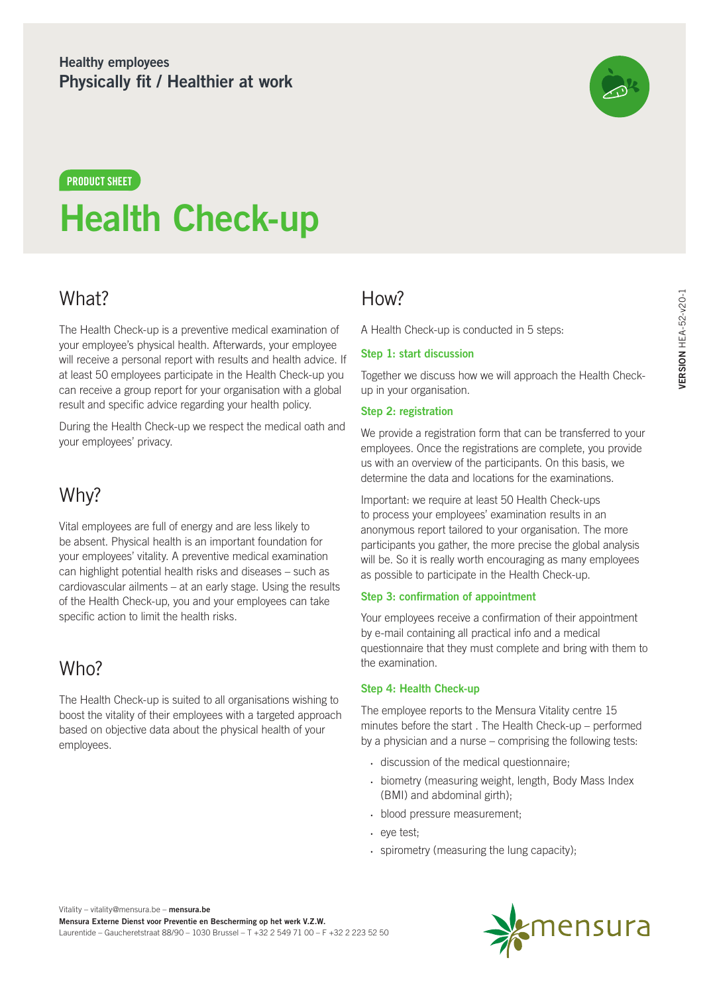### **Healthy employees Physically fit / Healthier at work**



# **Health Check-up PRODUCT SHEET**

# What?

The Health Check-up is a preventive medical examination of your employee's physical health. Afterwards, your employee will receive a personal report with results and health advice. If at least 50 employees participate in the Health Check-up you can receive a group report for your organisation with a global result and specific advice regarding your health policy.

During the Health Check-up we respect the medical oath and your employees' privacy.

## Why?

Vital employees are full of energy and are less likely to be absent. Physical health is an important foundation for your employees' vitality. A preventive medical examination can highlight potential health risks and diseases – such as cardiovascular ailments – at an early stage. Using the results of the Health Check-up, you and your employees can take specific action to limit the health risks.

# Who?

The Health Check-up is suited to all organisations wishing to boost the vitality of their employees with a targeted approach based on objective data about the physical health of your employees.

### How?

A Health Check-up is conducted in 5 steps:

#### **Step 1: start discussion**

Together we discuss how we will approach the Health Checkup in your organisation.

#### **Step 2: registration**

We provide a registration form that can be transferred to your employees. Once the registrations are complete, you provide us with an overview of the participants. On this basis, we determine the data and locations for the examinations.

Important: we require at least 50 Health Check-ups to process your employees' examination results in an anonymous report tailored to your organisation. The more participants you gather, the more precise the global analysis will be. So it is really worth encouraging as many employees as possible to participate in the Health Check-up.

#### **Step 3: confirmation of appointment**

Your employees receive a confirmation of their appointment by e-mail containing all practical info and a medical questionnaire that they must complete and bring with them to the examination.

#### **Step 4: Health Check-up**

The employee reports to the Mensura Vitality centre 15 minutes before the start . The Health Check-up – performed by a physician and a nurse – comprising the following tests:

- discussion of the medical questionnaire;
- biometry (measuring weight, length, Body Mass Index (BMI) and abdominal girth);
- blood pressure measurement;
- eye test;
- spirometry (measuring the lung capacity);